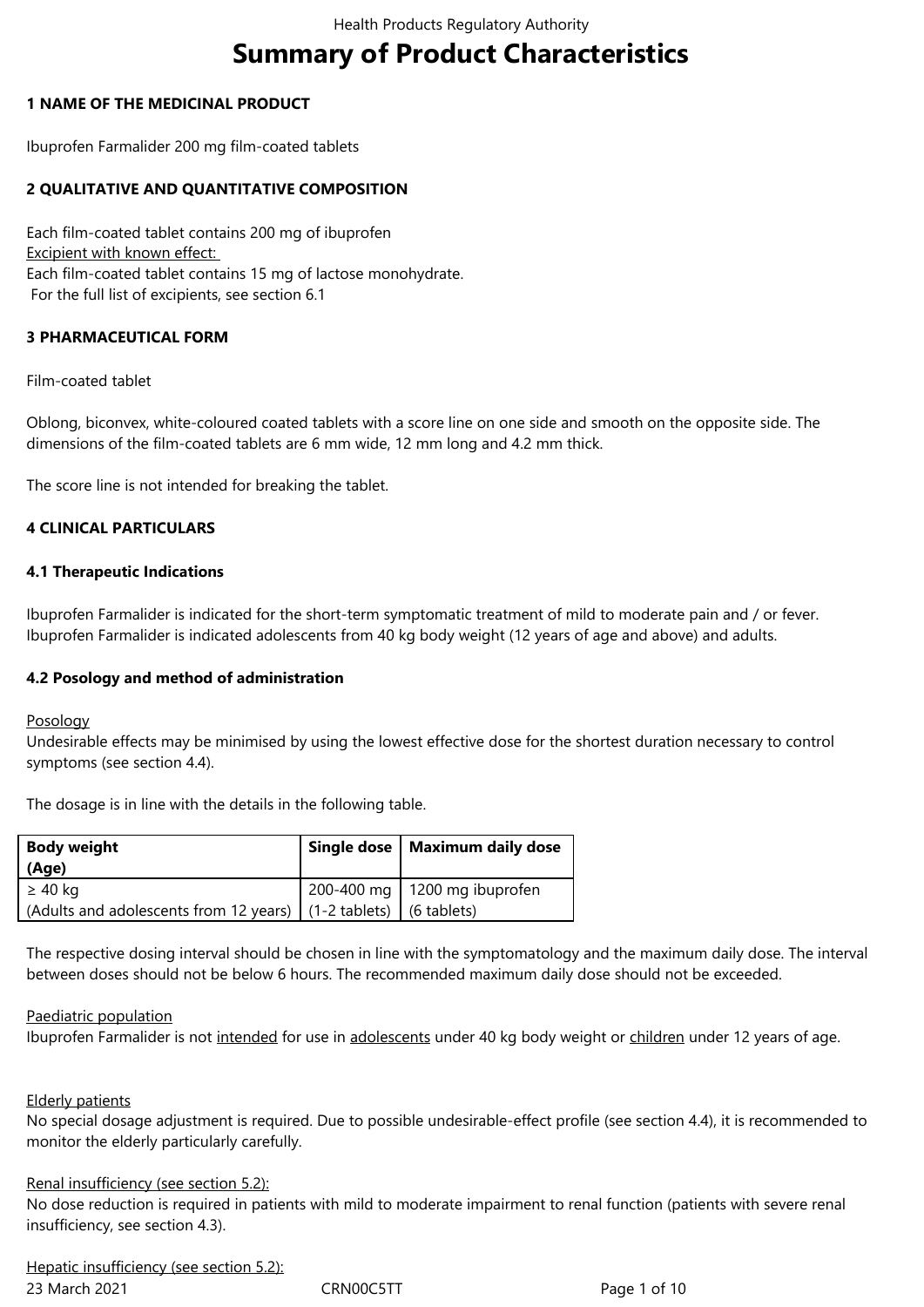# **Summary of Product Characteristics**

#### **1 NAME OF THE MEDICINAL PRODUCT**

Ibuprofen Farmalider 200 mg film-coated tablets

#### **2 QUALITATIVE AND QUANTITATIVE COMPOSITION**

Each film-coated tablet contains 200 mg of ibuprofen Excipient with known effect: Each film-coated tablet contains 15 mg of lactose monohydrate. For the full list of excipients, see section 6.1

#### **3 PHARMACEUTICAL FORM**

Film-coated tablet

Oblong, biconvex, white-coloured coated tablets with a score line on one side and smooth on the opposite side. The dimensions of the film-coated tablets are 6 mm wide, 12 mm long and 4.2 mm thick.

The score line is not intended for breaking the tablet.

#### **4 CLINICAL PARTICULARS**

#### **4.1 Therapeutic Indications**

Ibuprofen Farmalider is indicated for the short-term symptomatic treatment of mild to moderate pain and / or fever. Ibuprofen Farmalider is indicated adolescents from 40 kg body weight (12 years of age and above) and adults.

#### **4.2 Posology and method of administration**

#### Posology

Undesirable effects may be minimised by using the lowest effective dose for the shortest duration necessary to control symptoms (see section 4.4).

The dosage is in line with the details in the following table.

| <b>Body weight</b><br>(Age)                                                     | Single dose   Maximum daily dose |
|---------------------------------------------------------------------------------|----------------------------------|
| ≥ 40 kg<br>(Adults and adolescents from 12 years)   (1-2 tablets)   (6 tablets) | 200-400 mg   1200 mg ibuprofen   |

The respective dosing interval should be chosen in line with the symptomatology and the maximum daily dose. The interval between doses should not be below 6 hours. The recommended maximum daily dose should not be exceeded.

#### Paediatric population

Ibuprofen Farmalider is not intended for use in adolescents under 40 kg body weight or children under 12 years of age.

#### Elderly patients

No special dosage adjustment is required. Due to possible undesirable-effect profile (see section 4.4), it is recommended to monitor the elderly particularly carefully.

#### Renal insufficiency (see section 5.2):

No dose reduction is required in patients with mild to moderate impairment to renal function (patients with severe renal insufficiency, see section 4.3).

23 March 2021 **CRN00C5TT** Page 1 of 10 Hepatic insufficiency (see section 5.2):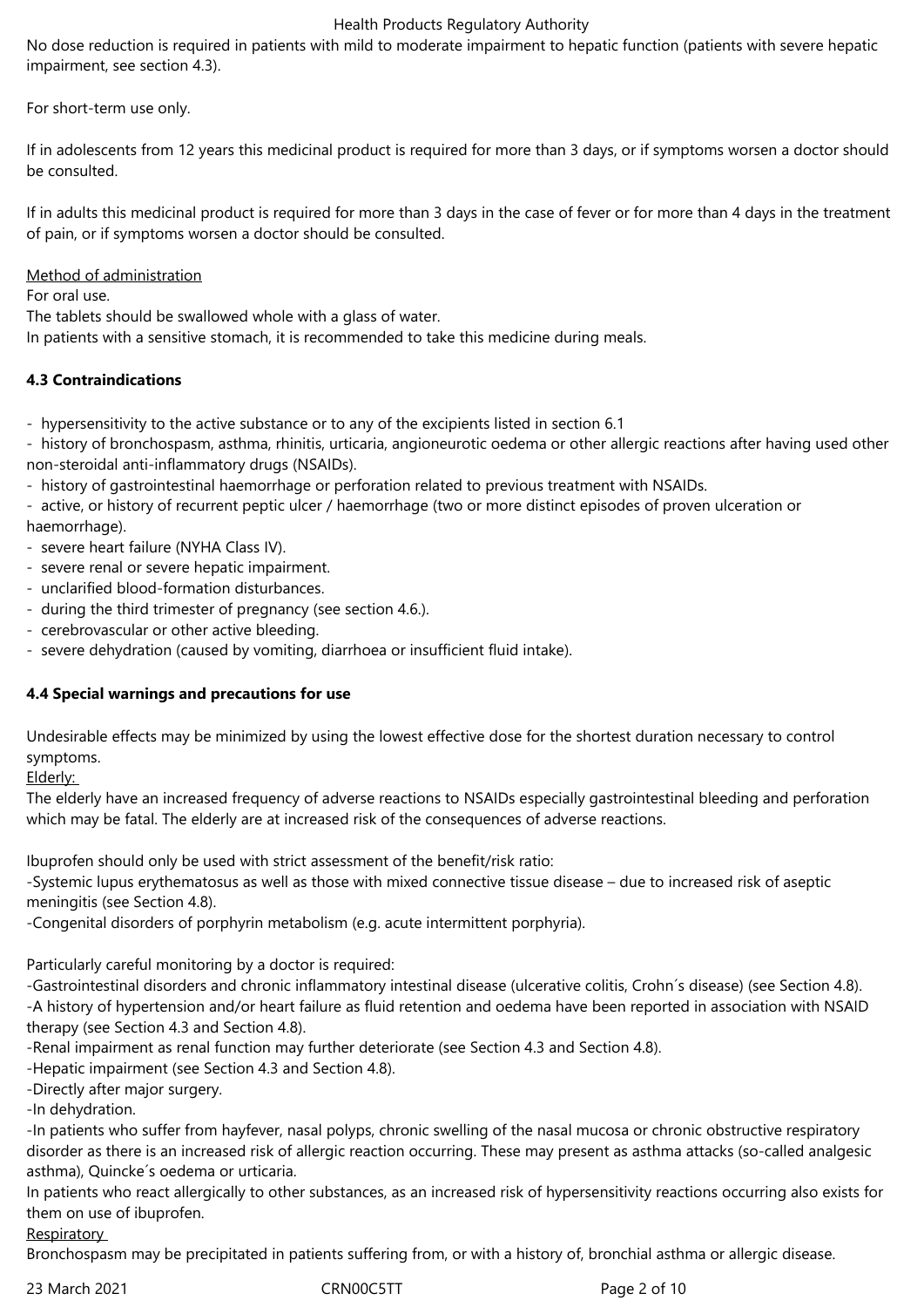No dose reduction is required in patients with mild to moderate impairment to hepatic function (patients with severe hepatic impairment, see section 4.3).

For short-term use only.

If in adolescents from 12 years this medicinal product is required for more than 3 days, or if symptoms worsen a doctor should be consulted.

If in adults this medicinal product is required for more than 3 days in the case of fever or for more than 4 days in the treatment of pain, or if symptoms worsen a doctor should be consulted.

Method of administration

For oral use.

The tablets should be swallowed whole with a glass of water.

In patients with a sensitive stomach, it is recommended to take this medicine during meals.

## **4.3 Contraindications**

- hypersensitivity to the active substance or to any of the excipients listed in section 6.1

- history of bronchospasm, asthma, rhinitis, urticaria, angioneurotic oedema or other allergic reactions after having used other non-steroidal anti-inflammatory drugs (NSAIDs).

- history of gastrointestinal haemorrhage or perforation related to previous treatment with NSAIDs.

- active, or history of recurrent peptic ulcer / haemorrhage (two or more distinct episodes of proven ulceration or haemorrhage).

- severe heart failure (NYHA Class IV).
- severe renal or severe hepatic impairment.
- unclarified blood-formation disturbances.
- during the third trimester of pregnancy (see section 4.6.).
- cerebrovascular or other active bleeding.
- severe dehydration (caused by vomiting, diarrhoea or insufficient fluid intake).

## **4.4 Special warnings and precautions for use**

Undesirable effects may be minimized by using the lowest effective dose for the shortest duration necessary to control symptoms.

Elderly:

The elderly have an increased frequency of adverse reactions to NSAIDs especially gastrointestinal bleeding and perforation which may be fatal. The elderly are at increased risk of the consequences of adverse reactions.

Ibuprofen should only be used with strict assessment of the benefit/risk ratio:

-Systemic lupus erythematosus as well as those with mixed connective tissue disease – due to increased risk of aseptic meningitis (see Section 4.8).

-Congenital disorders of porphyrin metabolism (e.g. acute intermittent porphyria).

Particularly careful monitoring by a doctor is required:

-Gastrointestinal disorders and chronic inflammatory intestinal disease (ulcerative colitis, Crohn´s disease) (see Section 4.8). -A history of hypertension and/or heart failure as fluid retention and oedema have been reported in association with NSAID therapy (see Section 4.3 and Section 4.8).

-Renal impairment as renal function may further deteriorate (see Section 4.3 and Section 4.8).

-Hepatic impairment (see Section 4.3 and Section 4.8).

-Directly after major surgery.

-In dehydration.

-In patients who suffer from hayfever, nasal polyps, chronic swelling of the nasal mucosa or chronic obstructive respiratory disorder as there is an increased risk of allergic reaction occurring. These may present as asthma attacks (so-called analgesic asthma), Quincke´s oedema or urticaria.

In patients who react allergically to other substances, as an increased risk of hypersensitivity reactions occurring also exists for them on use of ibuprofen.

**Respiratory** 

Bronchospasm may be precipitated in patients suffering from, or with a history of, bronchial asthma or allergic disease.

23 March 2021 **CRN00C5TT** Page 2 of 10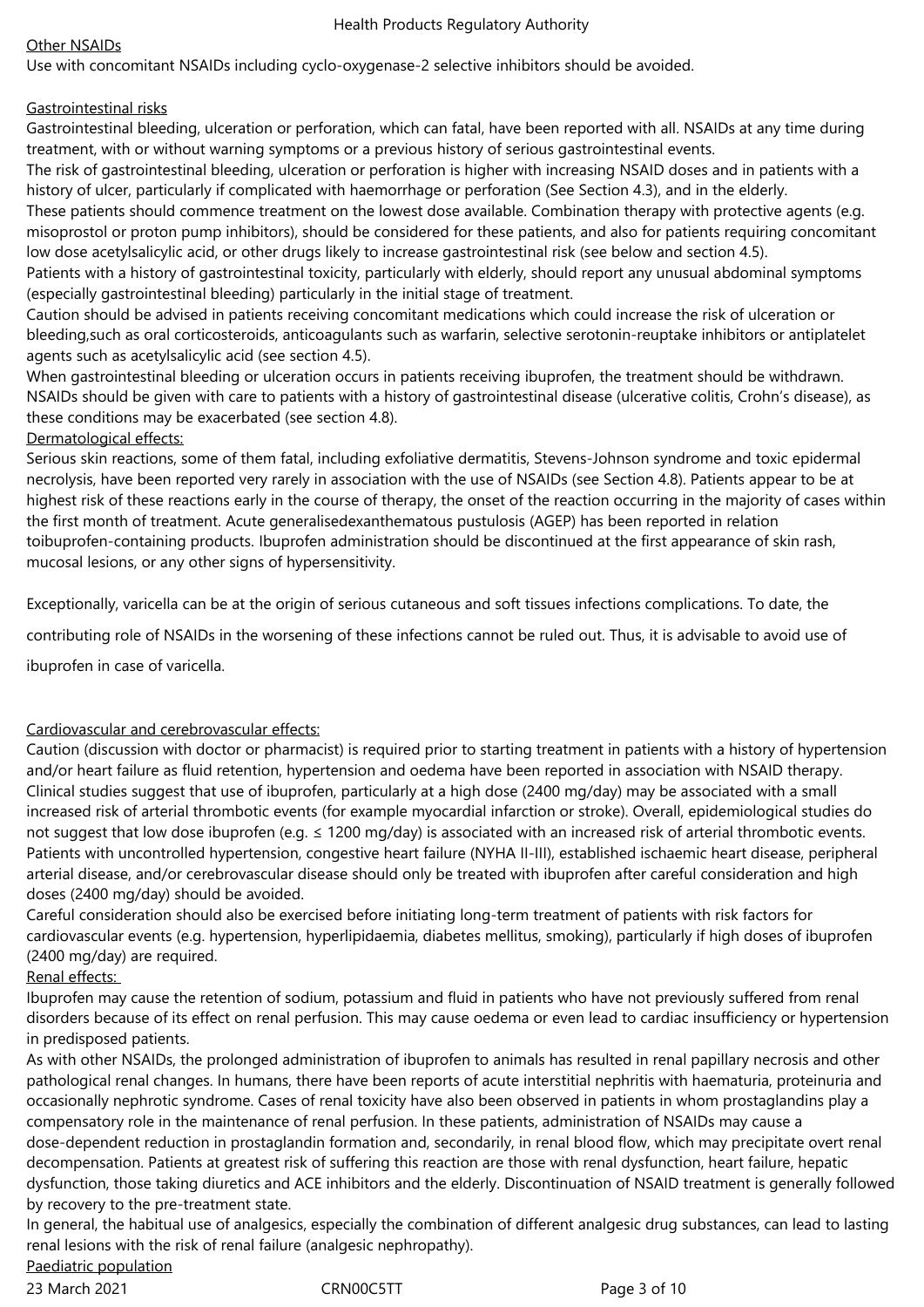## Other NSAIDs

Use with concomitant NSAIDs including cyclo-oxygenase-2 selective inhibitors should be avoided.

#### Gastrointestinal risks

Gastrointestinal bleeding, ulceration or perforation, which can fatal, have been reported with all. NSAIDs at any time during treatment, with or without warning symptoms or a previous history of serious gastrointestinal events.

The risk of gastrointestinal bleeding, ulceration or perforation is higher with increasing NSAID doses and in patients with a history of ulcer, particularly if complicated with haemorrhage or perforation (See Section 4.3), and in the elderly.

These patients should commence treatment on the lowest dose available. Combination therapy with protective agents (e.g. misoprostol or proton pump inhibitors), should be considered for these patients, and also for patients requiring concomitant low dose acetylsalicylic acid, or other drugs likely to increase gastrointestinal risk (see below and section 4.5).

Patients with a history of gastrointestinal toxicity, particularly with elderly, should report any unusual abdominal symptoms (especially gastrointestinal bleeding) particularly in the initial stage of treatment.

Caution should be advised in patients receiving concomitant medications which could increase the risk of ulceration or bleeding,such as oral corticosteroids, anticoagulants such as warfarin, selective serotonin-reuptake inhibitors or antiplatelet agents such as acetylsalicylic acid (see section 4.5).

When gastrointestinal bleeding or ulceration occurs in patients receiving ibuprofen, the treatment should be withdrawn. NSAIDs should be given with care to patients with a history of gastrointestinal disease (ulcerative colitis, Crohn's disease), as these conditions may be exacerbated (see section 4.8).

#### Dermatological effects:

Serious skin reactions, some of them fatal, including exfoliative dermatitis, Stevens-Johnson syndrome and toxic epidermal necrolysis, have been reported very rarely in association with the use of NSAIDs (see Section 4.8). Patients appear to be at highest risk of these reactions early in the course of therapy, the onset of the reaction occurring in the majority of cases within the first month of treatment. Acute generalisedexanthematous pustulosis (AGEP) has been reported in relation toibuprofen-containing products. Ibuprofen administration should be discontinued at the first appearance of skin rash, mucosal lesions, or any other signs of hypersensitivity.

Exceptionally, varicella can be at the origin of serious cutaneous and soft tissues infections complications. To date, the

contributing role of NSAIDs in the worsening of these infections cannot be ruled out. Thus, it is advisable to avoid use of

ibuprofen in case of varicella.

## Cardiovascular and cerebrovascular effects:

Caution (discussion with doctor or pharmacist) is required prior to starting treatment in patients with a history of hypertension and/or heart failure as fluid retention, hypertension and oedema have been reported in association with NSAID therapy. Clinical studies suggest that use of ibuprofen, particularly at a high dose (2400 mg/day) may be associated with a small increased risk of arterial thrombotic events (for example myocardial infarction or stroke). Overall, epidemiological studies do not suggest that low dose ibuprofen (e.g. ≤ 1200 mg/day) is associated with an increased risk of arterial thrombotic events. Patients with uncontrolled hypertension, congestive heart failure (NYHA II-III), established ischaemic heart disease, peripheral arterial disease, and/or cerebrovascular disease should only be treated with ibuprofen after careful consideration and high doses (2400 mg/day) should be avoided.

Careful consideration should also be exercised before initiating long-term treatment of patients with risk factors for cardiovascular events (e.g. hypertension, hyperlipidaemia, diabetes mellitus, smoking), particularly if high doses of ibuprofen (2400 mg/day) are required.

## Renal effects:

Ibuprofen may cause the retention of sodium, potassium and fluid in patients who have not previously suffered from renal disorders because of its effect on renal perfusion. This may cause oedema or even lead to cardiac insufficiency or hypertension in predisposed patients.

As with other NSAIDs, the prolonged administration of ibuprofen to animals has resulted in renal papillary necrosis and other pathological renal changes. In humans, there have been reports of acute interstitial nephritis with haematuria, proteinuria and occasionally nephrotic syndrome. Cases of renal toxicity have also been observed in patients in whom prostaglandins play a compensatory role in the maintenance of renal perfusion. In these patients, administration of NSAIDs may cause a dose-dependent reduction in prostaglandin formation and, secondarily, in renal blood flow, which may precipitate overt renal decompensation. Patients at greatest risk of suffering this reaction are those with renal dysfunction, heart failure, hepatic dysfunction, those taking diuretics and ACE inhibitors and the elderly. Discontinuation of NSAID treatment is generally followed by recovery to the pre-treatment state.

In general, the habitual use of analgesics, especially the combination of different analgesic drug substances, can lead to lasting renal lesions with the risk of renal failure (analgesic nephropathy).

# Paediatric population

23 March 2021 **CRNOOC5TT** Page 3 of 10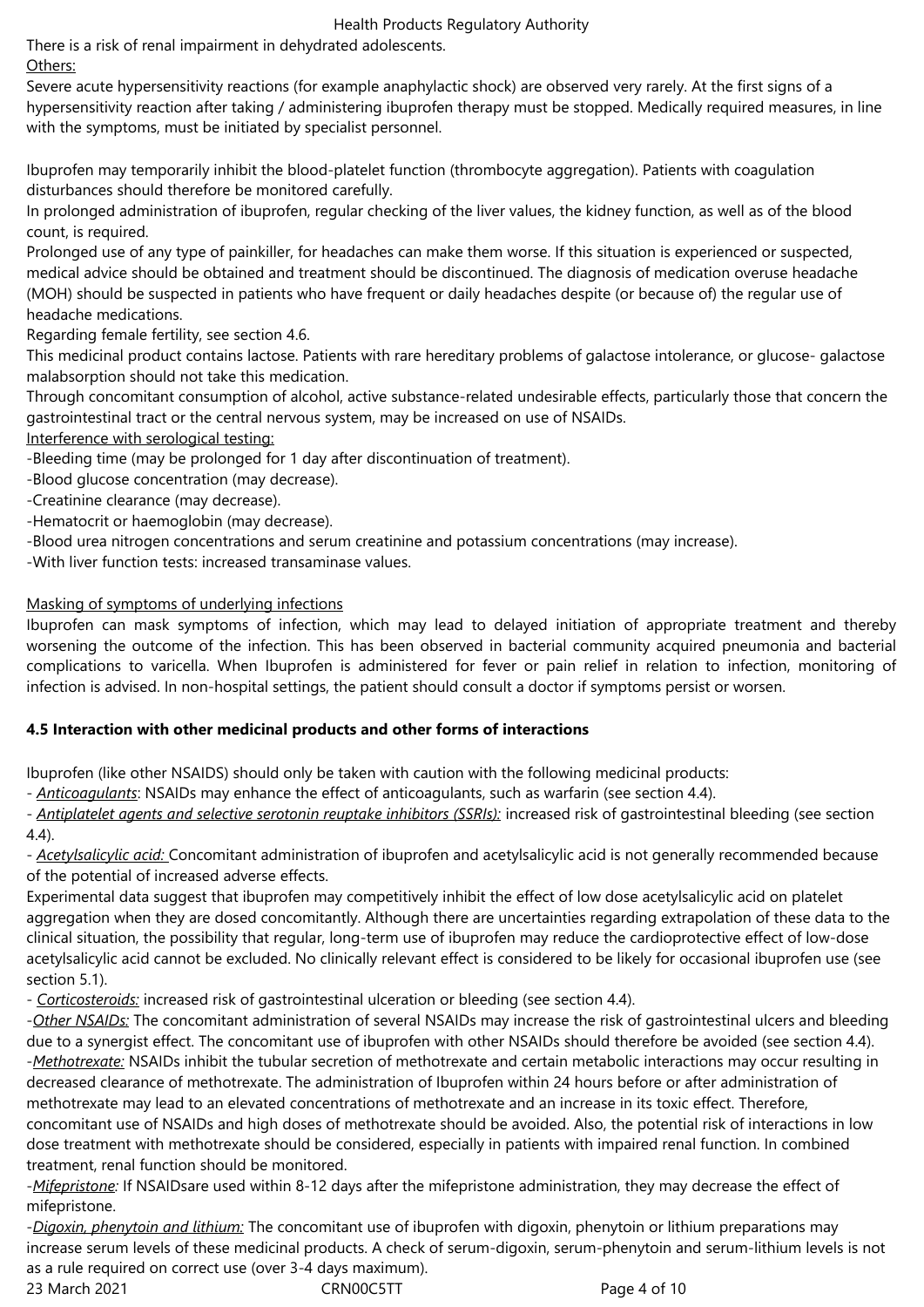There is a risk of renal impairment in dehydrated adolescents.

# Others:

Severe acute hypersensitivity reactions (for example anaphylactic shock) are observed very rarely. At the first signs of a hypersensitivity reaction after taking / administering ibuprofen therapy must be stopped. Medically required measures, in line with the symptoms, must be initiated by specialist personnel.

Ibuprofen may temporarily inhibit the blood-platelet function (thrombocyte aggregation). Patients with coagulation disturbances should therefore be monitored carefully.

In prolonged administration of ibuprofen, regular checking of the liver values, the kidney function, as well as of the blood count, is required.

Prolonged use of any type of painkiller, for headaches can make them worse. If this situation is experienced or suspected, medical advice should be obtained and treatment should be discontinued. The diagnosis of medication overuse headache (MOH) should be suspected in patients who have frequent or daily headaches despite (or because of) the regular use of headache medications.

Regarding female fertility, see section 4.6.

This medicinal product contains lactose. Patients with rare hereditary problems of galactose intolerance, or glucose- galactose malabsorption should not take this medication.

Through concomitant consumption of alcohol, active substance-related undesirable effects, particularly those that concern the gastrointestinal tract or the central nervous system, may be increased on use of NSAIDs.

Interference with serological testing:

-Bleeding time (may be prolonged for 1 day after discontinuation of treatment).

-Blood glucose concentration (may decrease).

-Creatinine clearance (may decrease).

-Hematocrit or haemoglobin (may decrease).

-Blood urea nitrogen concentrations and serum creatinine and potassium concentrations (may increase).

-With liver function tests: increased transaminase values.

# Masking of symptoms of underlying infections

Ibuprofen can mask symptoms of infection, which may lead to delayed initiation of appropriate treatment and thereby worsening the outcome of the infection. This has been observed in bacterial community acquired pneumonia and bacterial complications to varicella. When Ibuprofen is administered for fever or pain relief in relation to infection, monitoring of infection is advised. In non-hospital settings, the patient should consult a doctor if symptoms persist or worsen.

# **4.5 Interaction with other medicinal products and other forms of interactions**

Ibuprofen (like other NSAIDS) should only be taken with caution with the following medicinal products:

- *Anticoagulants*: NSAIDs may enhance the effect of anticoagulants, such as warfarin (see section 4.4).

- *Antiplatelet agents and selective serotonin reuptake inhibitors (SSRIs):* increased risk of gastrointestinal bleeding (see section 4.4).

- *Acetylsalicylic acid:* Concomitant administration of ibuprofen and acetylsalicylic acid is not generally recommended because of the potential of increased adverse effects.

Experimental data suggest that ibuprofen may competitively inhibit the effect of low dose acetylsalicylic acid on platelet aggregation when they are dosed concomitantly. Although there are uncertainties regarding extrapolation of these data to the clinical situation, the possibility that regular, long-term use of ibuprofen may reduce the cardioprotective effect of low-dose acetylsalicylic acid cannot be excluded. No clinically relevant effect is considered to be likely for occasional ibuprofen use (see section 5.1).

- *Corticosteroids:* increased risk of gastrointestinal ulceration or bleeding (see section 4.4).

-*Other NSAIDs:* The concomitant administration of several NSAIDs may increase the risk of gastrointestinal ulcers and bleeding due to a synergist effect. The concomitant use of ibuprofen with other NSAIDs should therefore be avoided (see section 4.4). -*Methotrexate:* NSAIDs inhibit the tubular secretion of methotrexate and certain metabolic interactions may occur resulting in decreased clearance of methotrexate. The administration of Ibuprofen within 24 hours before or after administration of methotrexate may lead to an elevated concentrations of methotrexate and an increase in its toxic effect. Therefore, concomitant use of NSAIDs and high doses of methotrexate should be avoided. Also, the potential risk of interactions in low dose treatment with methotrexate should be considered, especially in patients with impaired renal function. In combined treatment, renal function should be monitored.

-*Mifepristone:* If NSAIDsare used within 8-12 days after the mifepristone administration, they may decrease the effect of mifepristone.

23 March 2021 **CRNOOC5TT** Page 4 of 10 -*Digoxin, phenytoin and lithium:* The concomitant use of ibuprofen with digoxin, phenytoin or lithium preparations may increase serum levels of these medicinal products. A check of serum-digoxin, serum-phenytoin and serum-lithium levels is not as a rule required on correct use (over 3-4 days maximum).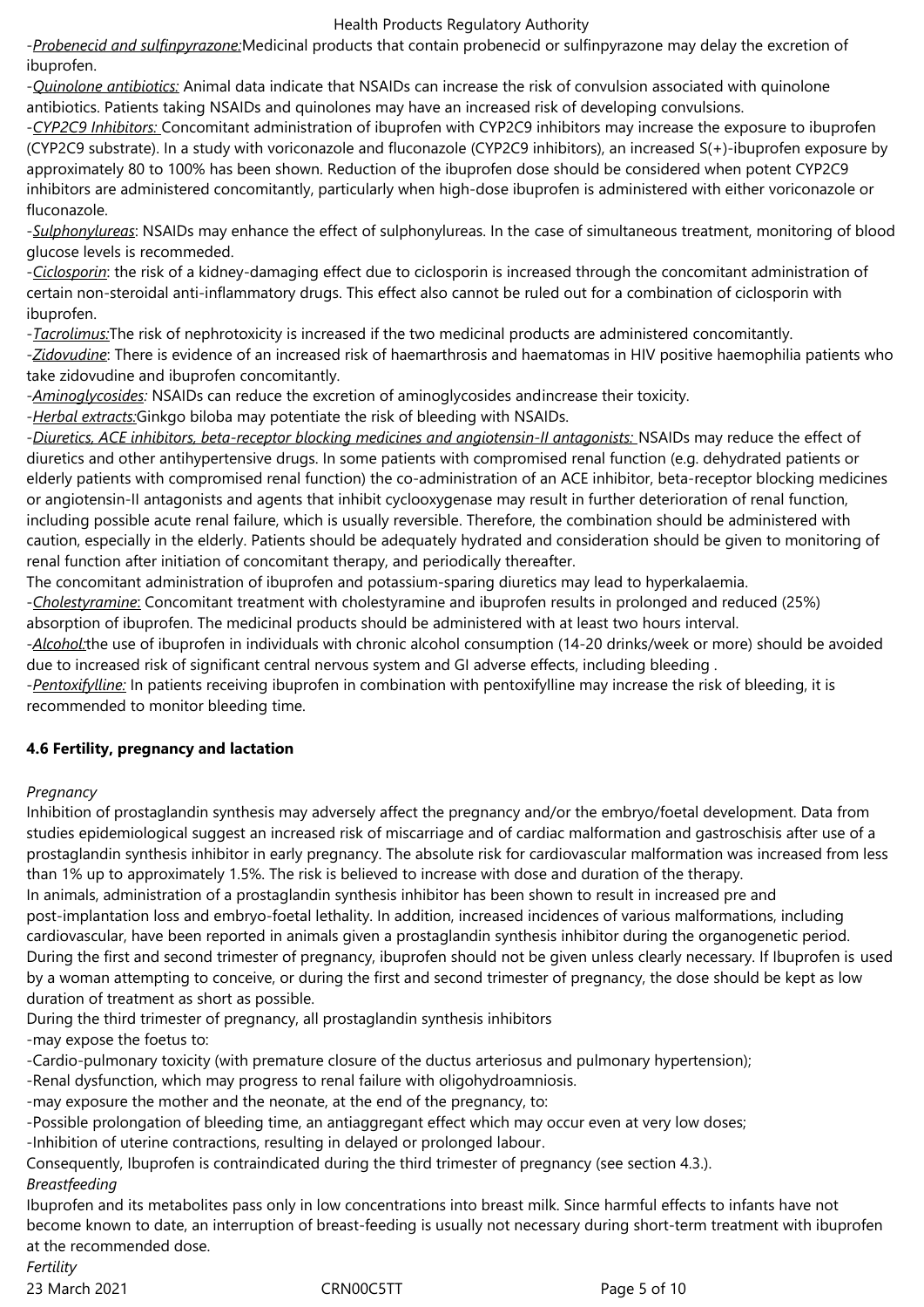-*Probenecid and sulfinpyrazone:*Medicinal products that contain probenecid or sulfinpyrazone may delay the excretion of ibuprofen.

-*Quinolone antibiotics:* Animal data indicate that NSAIDs can increase the risk of convulsion associated with quinolone antibiotics. Patients taking NSAIDs and quinolones may have an increased risk of developing convulsions.

-*CYP2C9 Inhibitors:* Concomitant administration of ibuprofen with CYP2C9 inhibitors may increase the exposure to ibuprofen (CYP2C9 substrate). In a study with voriconazole and fluconazole (CYP2C9 inhibitors), an increased S(+)-ibuprofen exposure by approximately 80 to 100% has been shown. Reduction of the ibuprofen dose should be considered when potent CYP2C9 inhibitors are administered concomitantly, particularly when high-dose ibuprofen is administered with either voriconazole or fluconazole.

-*Sulphonylureas*: NSAIDs may enhance the effect of sulphonylureas. In the case of simultaneous treatment, monitoring of blood glucose levels is recommeded.

-*Ciclosporin*: the risk of a kidney-damaging effect due to ciclosporin is increased through the concomitant administration of certain non-steroidal anti-inflammatory drugs. This effect also cannot be ruled out for a combination of ciclosporin with ibuprofen.

-*Tacrolimus:*The risk of nephrotoxicity is increased if the two medicinal products are administered concomitantly.

-*Zidovudine*: There is evidence of an increased risk of haemarthrosis and haematomas in HIV positive haemophilia patients who take zidovudine and ibuprofen concomitantly.

-*Aminoglycosides:* NSAIDs can reduce the excretion of aminoglycosides andincrease their toxicity.

-*Herbal extracts:*Ginkgo biloba may potentiate the risk of bleeding with NSAIDs.

-*Diuretics, ACE inhibitors, beta-receptor blocking medicines and angiotensin-II antagonists:* NSAIDs may reduce the effect of diuretics and other antihypertensive drugs. In some patients with compromised renal function (e.g. dehydrated patients or elderly patients with compromised renal function) the co-administration of an ACE inhibitor, beta-receptor blocking medicines or angiotensin-II antagonists and agents that inhibit cyclooxygenase may result in further deterioration of renal function, including possible acute renal failure, which is usually reversible. Therefore, the combination should be administered with caution, especially in the elderly. Patients should be adequately hydrated and consideration should be given to monitoring of renal function after initiation of concomitant therapy, and periodically thereafter.

The concomitant administration of ibuprofen and potassium-sparing diuretics may lead to hyperkalaemia.

-*Cholestyramine*: Concomitant treatment with cholestyramine and ibuprofen results in prolonged and reduced (25%) absorption of ibuprofen. The medicinal products should be administered with at least two hours interval.

-*Alcohol:*the use of ibuprofen in individuals with chronic alcohol consumption (14-20 drinks/week or more) should be avoided due to increased risk of significant central nervous system and GI adverse effects, including bleeding .

-*Pentoxifylline:* In patients receiving ibuprofen in combination with pentoxifylline may increase the risk of bleeding, it is recommended to monitor bleeding time.

# **4.6 Fertility, pregnancy and lactation**

## *Pregnancy*

Inhibition of prostaglandin synthesis may adversely affect the pregnancy and/or the embryo/foetal development. Data from studies epidemiological suggest an increased risk of miscarriage and of cardiac malformation and gastroschisis after use of a prostaglandin synthesis inhibitor in early pregnancy. The absolute risk for cardiovascular malformation was increased from less than 1% up to approximately 1.5%. The risk is believed to increase with dose and duration of the therapy.

In animals, administration of a prostaglandin synthesis inhibitor has been shown to result in increased pre and post-implantation loss and embryo-foetal lethality. In addition, increased incidences of various malformations, including cardiovascular, have been reported in animals given a prostaglandin synthesis inhibitor during the organogenetic period. During the first and second trimester of pregnancy, ibuprofen should not be given unless clearly necessary. If Ibuprofen is used by a woman attempting to conceive, or during the first and second trimester of pregnancy, the dose should be kept as low duration of treatment as short as possible.

During the third trimester of pregnancy, all prostaglandin synthesis inhibitors -may expose the foetus to:

-Cardio-pulmonary toxicity (with premature closure of the ductus arteriosus and pulmonary hypertension);

-Renal dysfunction, which may progress to renal failure with oligohydroamniosis.

-may exposure the mother and the neonate, at the end of the pregnancy, to:

-Possible prolongation of bleeding time, an antiaggregant effect which may occur even at very low doses;

-Inhibition of uterine contractions, resulting in delayed or prolonged labour.

Consequently, Ibuprofen is contraindicated during the third trimester of pregnancy (see section 4.3.).

## *Breastfeeding*

Ibuprofen and its metabolites pass only in low concentrations into breast milk. Since harmful effects to infants have not become known to date, an interruption of breast-feeding is usually not necessary during short-term treatment with ibuprofen at the recommended dose.

*Fertility*

23 March 2021 **CRN00C5TT** Page 5 of 10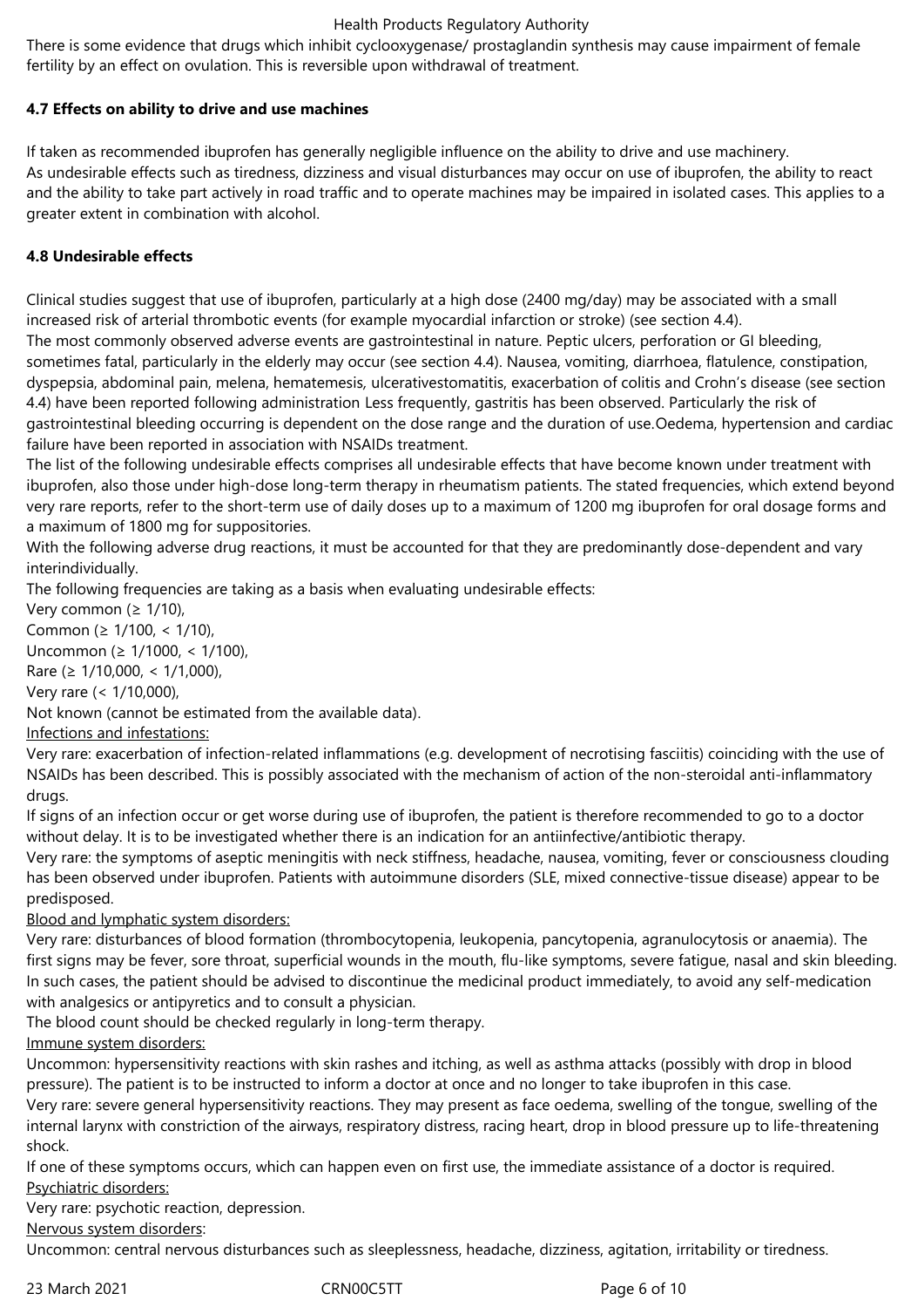There is some evidence that drugs which inhibit cyclooxygenase/ prostaglandin synthesis may cause impairment of female fertility by an effect on ovulation. This is reversible upon withdrawal of treatment.

## **4.7 Effects on ability to drive and use machines**

If taken as recommended ibuprofen has generally negligible influence on the ability to drive and use machinery. As undesirable effects such as tiredness, dizziness and visual disturbances may occur on use of ibuprofen, the ability to react and the ability to take part actively in road traffic and to operate machines may be impaired in isolated cases. This applies to a greater extent in combination with alcohol.

## **4.8 Undesirable effects**

Clinical studies suggest that use of ibuprofen, particularly at a high dose (2400 mg/day) may be associated with a small increased risk of arterial thrombotic events (for example myocardial infarction or stroke) (see section 4.4). The most commonly observed adverse events are gastrointestinal in nature. Peptic ulcers, perforation or GI bleeding, sometimes fatal, particularly in the elderly may occur (see section 4.4). Nausea, vomiting, diarrhoea, flatulence, constipation, dyspepsia, abdominal pain, melena, hematemesis*,* ulcerativestomatitis, exacerbation of colitis and Crohn's disease (see section 4.4) have been reported following administration Less frequently, gastritis has been observed. Particularly the risk of gastrointestinal bleeding occurring is dependent on the dose range and the duration of use.Oedema, hypertension and cardiac failure have been reported in association with NSAIDs treatment.

The list of the following undesirable effects comprises all undesirable effects that have become known under treatment with ibuprofen, also those under high-dose long-term therapy in rheumatism patients. The stated frequencies, which extend beyond very rare reports, refer to the short-term use of daily doses up to a maximum of 1200 mg ibuprofen for oral dosage forms and a maximum of 1800 mg for suppositories.

With the following adverse drug reactions, it must be accounted for that they are predominantly dose-dependent and vary interindividually.

The following frequencies are taking as a basis when evaluating undesirable effects:

Very common ( $\geq 1/10$ ),

Common (≥ 1/100, < 1/10),

Uncommon (≥ 1/1000, < 1/100),

Rare (≥ 1/10,000, < 1/1,000),

Very rare (< 1/10,000),

Not known (cannot be estimated from the available data).

## Infections and infestations:

Very rare: exacerbation of infection-related inflammations (e.g. development of necrotising fasciitis) coinciding with the use of NSAIDs has been described. This is possibly associated with the mechanism of action of the non-steroidal anti-inflammatory drugs.

If signs of an infection occur or get worse during use of ibuprofen, the patient is therefore recommended to go to a doctor without delay. It is to be investigated whether there is an indication for an antiinfective/antibiotic therapy.

Very rare: the symptoms of aseptic meningitis with neck stiffness, headache, nausea, vomiting, fever or consciousness clouding has been observed under ibuprofen. Patients with autoimmune disorders (SLE, mixed connective-tissue disease) appear to be predisposed.

## Blood and lymphatic system disorders:

Very rare: disturbances of blood formation (thrombocytopenia, leukopenia, pancytopenia, agranulocytosis or anaemia). The first signs may be fever, sore throat, superficial wounds in the mouth, flu-like symptoms, severe fatigue, nasal and skin bleeding. In such cases, the patient should be advised to discontinue the medicinal product immediately, to avoid any self-medication with analgesics or antipyretics and to consult a physician.

The blood count should be checked regularly in long-term therapy.

Immune system disorders:

Uncommon: hypersensitivity reactions with skin rashes and itching, as well as asthma attacks (possibly with drop in blood pressure). The patient is to be instructed to inform a doctor at once and no longer to take ibuprofen in this case.

Very rare: severe general hypersensitivity reactions. They may present as face oedema, swelling of the tongue, swelling of the internal larynx with constriction of the airways, respiratory distress, racing heart, drop in blood pressure up to life-threatening shock.

If one of these symptoms occurs, which can happen even on first use, the immediate assistance of a doctor is required. Psychiatric disorders:

Very rare: psychotic reaction, depression.

Nervous system disorders:

Uncommon: central nervous disturbances such as sleeplessness, headache, dizziness, agitation, irritability or tiredness.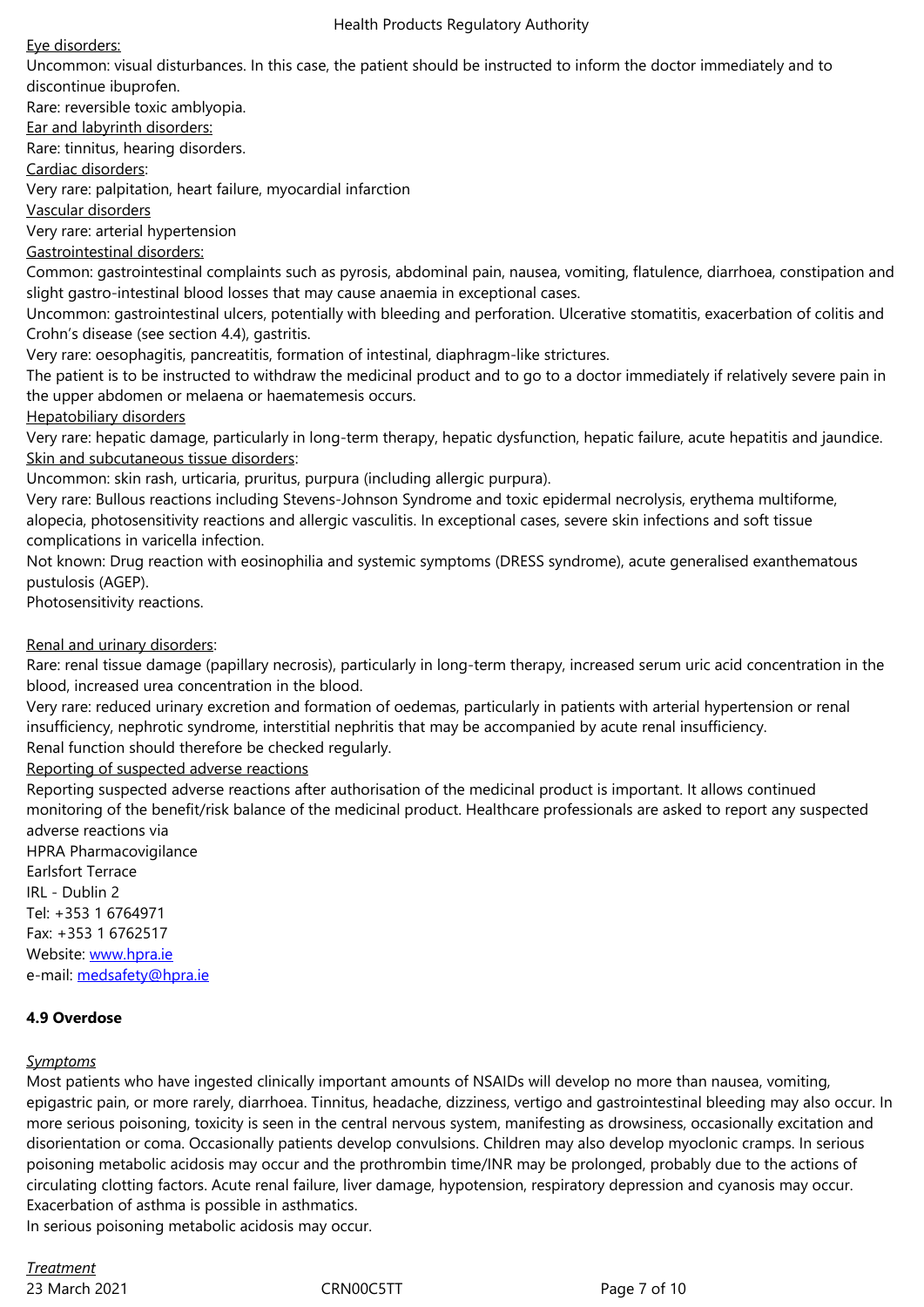discontinue ibuprofen. Rare: reversible toxic amblyopia. Ear and labyrinth disorders: Rare: tinnitus, hearing disorders. Cardiac disorders: Very rare: palpitation, heart failure, myocardial infarction Vascular disorders Very rare: arterial hypertension Gastrointestinal disorders: Common: gastrointestinal complaints such as pyrosis, abdominal pain, nausea, vomiting, flatulence, diarrhoea, constipation and slight gastro-intestinal blood losses that may cause anaemia in exceptional cases. Uncommon: gastrointestinal ulcers, potentially with bleeding and perforation. Ulcerative stomatitis, exacerbation of colitis and Crohn's disease (see section 4.4), gastritis. Very rare: oesophagitis, pancreatitis, formation of intestinal, diaphragm-like strictures. The patient is to be instructed to withdraw the medicinal product and to go to a doctor immediately if relatively severe pain in the upper abdomen or melaena or haematemesis occurs. Hepatobiliary disorders Very rare: hepatic damage, particularly in long-term therapy, hepatic dysfunction, hepatic failure, acute hepatitis and jaundice. Skin and subcutaneous tissue disorders:

Uncommon: skin rash, urticaria, pruritus, purpura (including allergic purpura).

Very rare: Bullous reactions including Stevens-Johnson Syndrome and toxic epidermal necrolysis, erythema multiforme, alopecia, photosensitivity reactions and allergic vasculitis. In exceptional cases, severe skin infections and soft tissue complications in varicella infection.

Not known: Drug reaction with eosinophilia and systemic symptoms (DRESS syndrome), acute generalised exanthematous pustulosis (AGEP).

Photosensitivity reactions.

Renal and urinary disorders:

Rare: renal tissue damage (papillary necrosis), particularly in long-term therapy, increased serum uric acid concentration in the blood, increased urea concentration in the blood.

Very rare: reduced urinary excretion and formation of oedemas, particularly in patients with arterial hypertension or renal insufficiency, nephrotic syndrome, interstitial nephritis that may be accompanied by acute renal insufficiency.

Renal function should therefore be checked regularly.

Reporting of suspected adverse reactions

Reporting suspected adverse reactions after authorisation of the medicinal product is important. It allows continued monitoring of the benefit/risk balance of the medicinal product. Healthcare professionals are asked to report any suspected adverse reactions via

HPRA Pharmacovigilance Earlsfort Terrace IRL - Dublin 2 Tel: +353 1 6764971 Fax: +353 1 6762517 Website: www.hpra.ie e-mail: medsafety@hpra.ie

## **4.9 Over[dose](http://www.hpra.iee-mail/)**

#### *Sympto[ms](mailto:medsafety@hpra.ie)*

Most patients who have ingested clinically important amounts of NSAIDs will develop no more than nausea, vomiting, epigastric pain, or more rarely, diarrhoea. Tinnitus, headache, dizziness, vertigo and gastrointestinal bleeding may also occur. In more serious poisoning, toxicity is seen in the central nervous system, manifesting as drowsiness, occasionally excitation and disorientation or coma. Occasionally patients develop convulsions. Children may also develop myoclonic cramps. In serious poisoning metabolic acidosis may occur and the prothrombin time/INR may be prolonged, probably due to the actions of circulating clotting factors. Acute renal failure, liver damage, hypotension, respiratory depression and cyanosis may occur. Exacerbation of asthma is possible in asthmatics. In serious poisoning metabolic acidosis may occur.

23 March 2021 **CRNOOC5TT** Page 7 of 10 *Treatment*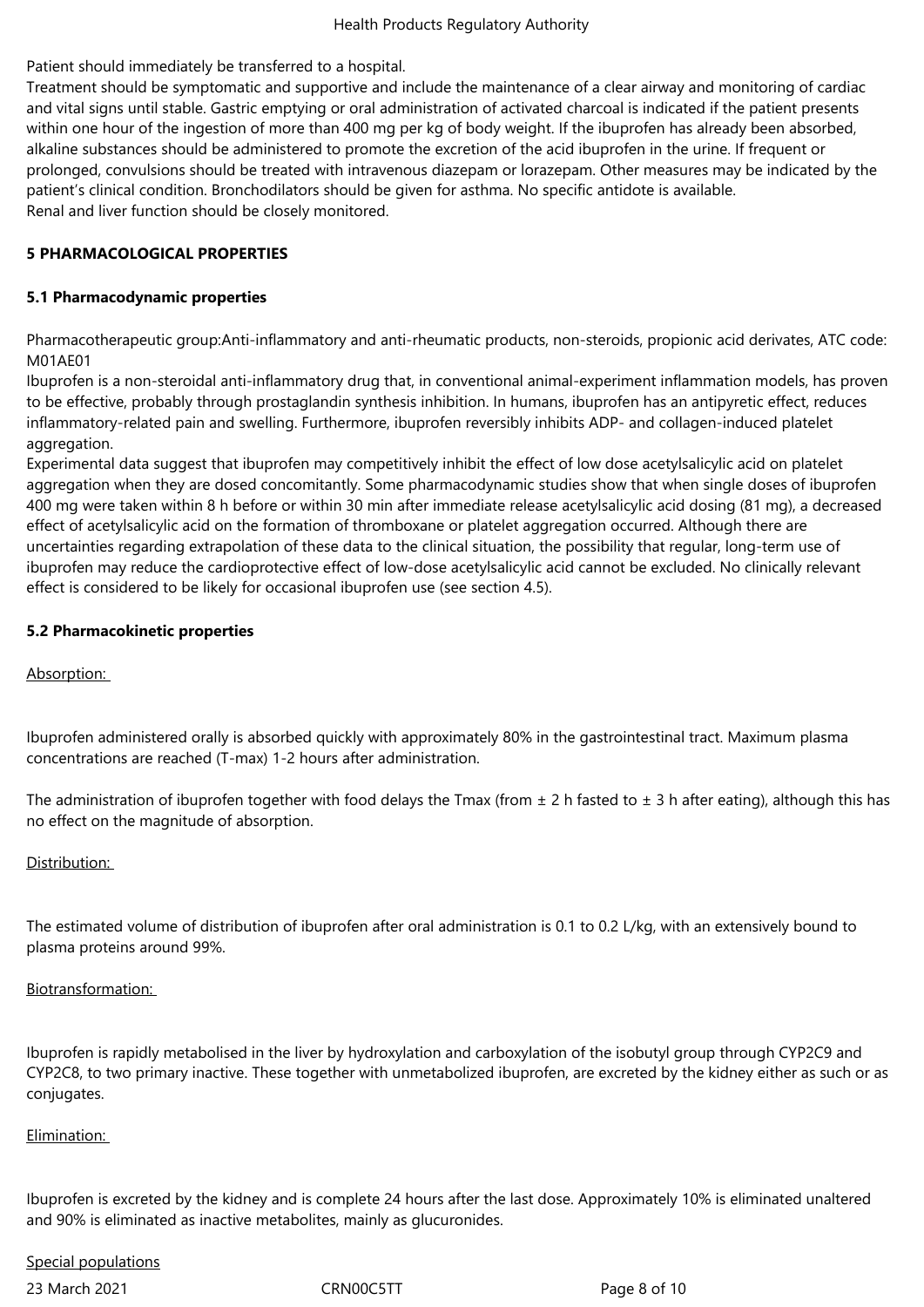## Patient should immediately be transferred to a hospital.

Treatment should be symptomatic and supportive and include the maintenance of a clear airway and monitoring of cardiac and vital signs until stable. Gastric emptying or oral administration of activated charcoal is indicated if the patient presents within one hour of the ingestion of more than 400 mg per kg of body weight. If the ibuprofen has already been absorbed, alkaline substances should be administered to promote the excretion of the acid ibuprofen in the urine. If frequent or prolonged, convulsions should be treated with intravenous diazepam or lorazepam. Other measures may be indicated by the patient's clinical condition. Bronchodilators should be given for asthma. No specific antidote is available. Renal and liver function should be closely monitored.

#### **5 PHARMACOLOGICAL PROPERTIES**

#### **5.1 Pharmacodynamic properties**

Pharmacotherapeutic group:Anti-inflammatory and anti-rheumatic products, non-steroids, propionic acid derivates, ATC code: M01AE01

Ibuprofen is a non-steroidal anti-inflammatory drug that, in conventional animal-experiment inflammation models, has proven to be effective, probably through prostaglandin synthesis inhibition. In humans, ibuprofen has an antipyretic effect, reduces inflammatory-related pain and swelling. Furthermore, ibuprofen reversibly inhibits ADP- and collagen-induced platelet aggregation.

Experimental data suggest that ibuprofen may competitively inhibit the effect of low dose acetylsalicylic acid on platelet aggregation when they are dosed concomitantly. Some pharmacodynamic studies show that when single doses of ibuprofen 400 mg were taken within 8 h before or within 30 min after immediate release acetylsalicylic acid dosing (81 mg), a decreased effect of acetylsalicylic acid on the formation of thromboxane or platelet aggregation occurred. Although there are uncertainties regarding extrapolation of these data to the clinical situation, the possibility that regular, long-term use of ibuprofen may reduce the cardioprotective effect of low-dose acetylsalicylic acid cannot be excluded. No clinically relevant effect is considered to be likely for occasional ibuprofen use (see section 4.5).

#### **5.2 Pharmacokinetic properties**

#### Absorption:

Ibuprofen administered orally is absorbed quickly with approximately 80% in the gastrointestinal tract. Maximum plasma concentrations are reached (T-max) 1-2 hours after administration.

The administration of ibuprofen together with food delays the Tmax (from  $\pm$  2 h fasted to  $\pm$  3 h after eating), although this has no effect on the magnitude of absorption.

## Distribution:

The estimated volume of distribution of ibuprofen after oral administration is 0.1 to 0.2 L/kg, with an extensively bound to plasma proteins around 99%.

#### Biotransformation:

Ibuprofen is rapidly metabolised in the liver by hydroxylation and carboxylation of the isobutyl group through CYP2C9 and CYP2C8, to two primary inactive. These together with unmetabolized ibuprofen, are excreted by the kidney either as such or as conjugates.

## Elimination:

Ibuprofen is excreted by the kidney and is complete 24 hours after the last dose. Approximately 10% is eliminated unaltered and 90% is eliminated as inactive metabolites, mainly as glucuronides.

# Special populations

23 March 2021 **CRNOOC5TT** Page 8 of 10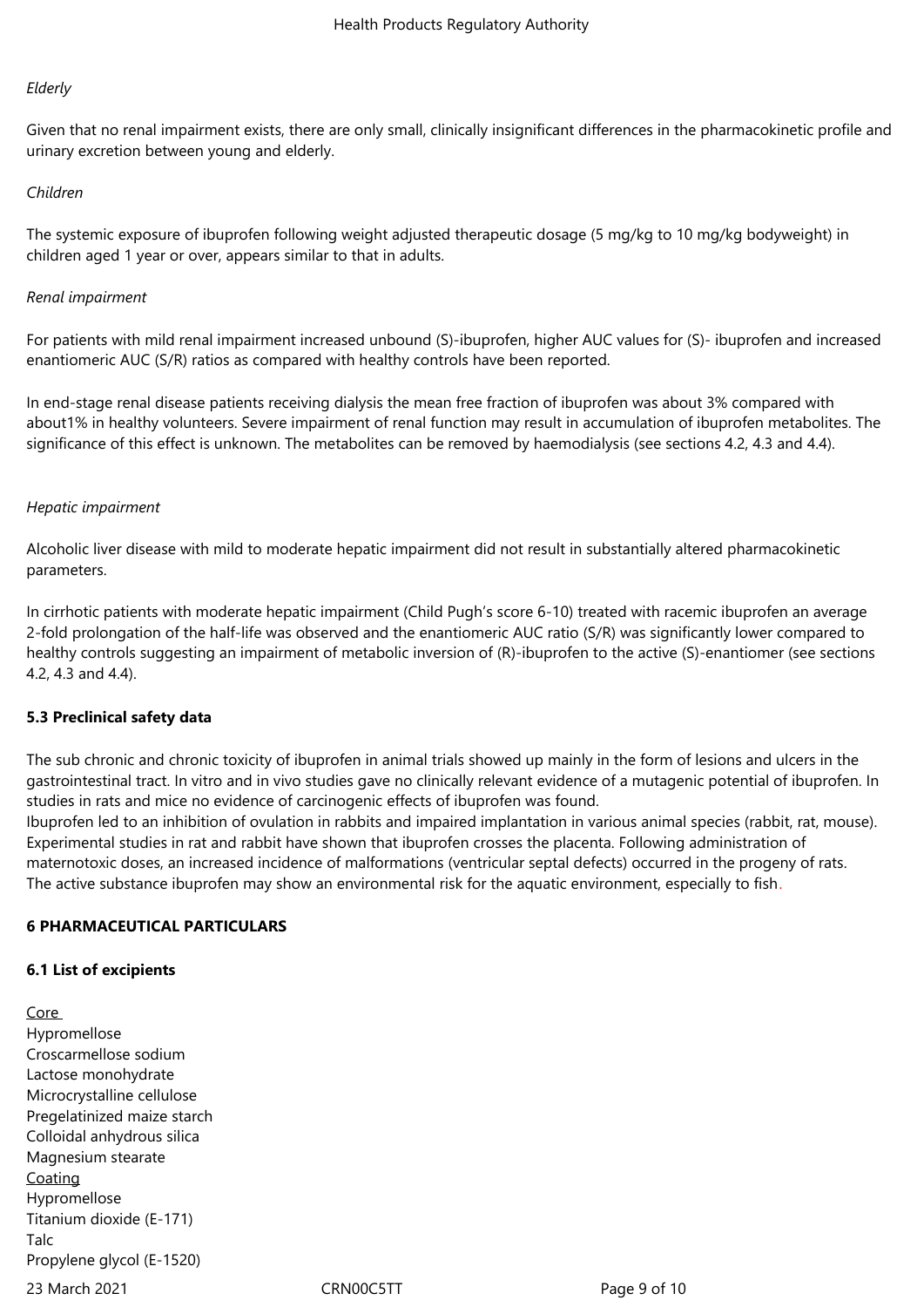#### *Elderly*

Given that no renal impairment exists, there are only small, clinically insignificant differences in the pharmacokinetic profile and urinary excretion between young and elderly.

#### *Children*

The systemic exposure of ibuprofen following weight adjusted therapeutic dosage (5 mg/kg to 10 mg/kg bodyweight) in children aged 1 year or over, appears similar to that in adults.

#### *Renal impairment*

For patients with mild renal impairment increased unbound (S)-ibuprofen, higher AUC values for (S)- ibuprofen and increased enantiomeric AUC (S/R) ratios as compared with healthy controls have been reported.

In end-stage renal disease patients receiving dialysis the mean free fraction of ibuprofen was about 3% compared with about1% in healthy volunteers. Severe impairment of renal function may result in accumulation of ibuprofen metabolites. The significance of this effect is unknown. The metabolites can be removed by haemodialysis (see sections 4.2, 4.3 and 4.4).

#### *Hepatic impairment*

Alcoholic liver disease with mild to moderate hepatic impairment did not result in substantially altered pharmacokinetic parameters.

In cirrhotic patients with moderate hepatic impairment (Child Pugh's score 6-10) treated with racemic ibuprofen an average 2-fold prolongation of the half-life was observed and the enantiomeric AUC ratio (S/R) was significantly lower compared to healthy controls suggesting an impairment of metabolic inversion of (R)-ibuprofen to the active (S)-enantiomer (see sections 4.2, 4.3 and 4.4).

#### **5.3 Preclinical safety data**

The sub chronic and chronic toxicity of ibuprofen in animal trials showed up mainly in the form of lesions and ulcers in the gastrointestinal tract. In vitro and in vivo studies gave no clinically relevant evidence of a mutagenic potential of ibuprofen. In studies in rats and mice no evidence of carcinogenic effects of ibuprofen was found. Ibuprofen led to an inhibition of ovulation in rabbits and impaired implantation in various animal species (rabbit, rat, mouse).

Experimental studies in rat and rabbit have shown that ibuprofen crosses the placenta. Following administration of maternotoxic doses, an increased incidence of malformations (ventricular septal defects) occurred in the progeny of rats. The active substance ibuprofen may show an environmental risk for the aquatic environment, especially to fish.

#### **6 PHARMACEUTICAL PARTICULARS**

#### **6.1 List of excipients**

23 March 2021 **CRN00C5TT** Page 9 of 10 Core Hypromellose Croscarmellose sodium Lactose monohydrate Microcrystalline cellulose Pregelatinized maize starch Colloidal anhydrous silica Magnesium stearate **Coating** Hypromellose Titanium dioxide (E-171) Talc Propylene glycol (E-1520)